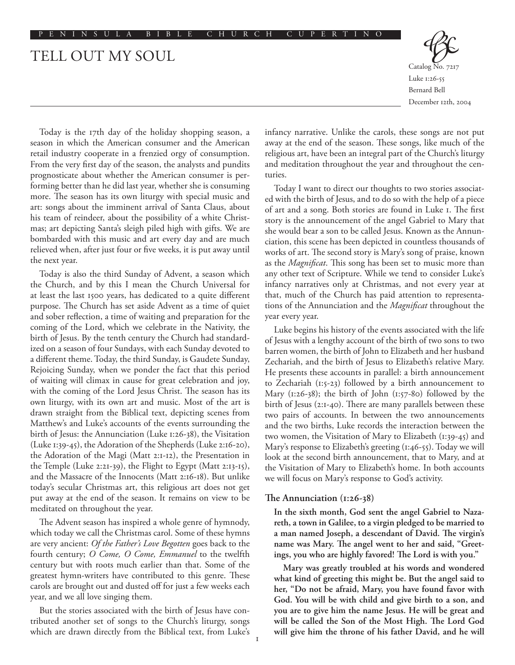## Tell Out My Soul

Catalog No. 7217 Luke 1:26-55 Bernard Bell December 12th, 2004

Today is the 17th day of the holiday shopping season, a season in which the American consumer and the American retail industry cooperate in a frenzied orgy of consumption. From the very first day of the season, the analysts and pundits prognosticate about whether the American consumer is performing better than he did last year, whether she is consuming more. The season has its own liturgy with special music and art: songs about the imminent arrival of Santa Claus, about his team of reindeer, about the possibility of a white Christmas; art depicting Santa's sleigh piled high with gifts. We are bombarded with this music and art every day and are much relieved when, after just four or five weeks, it is put away until the next year.

Today is also the third Sunday of Advent, a season which the Church, and by this I mean the Church Universal for at least the last 1500 years, has dedicated to a quite different purpose. The Church has set aside Advent as a time of quiet and sober reflection, a time of waiting and preparation for the coming of the Lord, which we celebrate in the Nativity, the birth of Jesus. By the tenth century the Church had standardized on a season of four Sundays, with each Sunday devoted to a different theme. Today, the third Sunday, is Gaudete Sunday, Rejoicing Sunday, when we ponder the fact that this period of waiting will climax in cause for great celebration and joy, with the coming of the Lord Jesus Christ. The season has its own liturgy, with its own art and music. Most of the art is drawn straight from the Biblical text, depicting scenes from Matthew's and Luke's accounts of the events surrounding the birth of Jesus: the Annunciation (Luke 1:26-38), the Visitation (Luke 1:39-45), the Adoration of the Shepherds (Luke 2:16-20), the Adoration of the Magi (Matt 2:1-12), the Presentation in the Temple (Luke 2:21-39), the Flight to Egypt (Matt 2:13-15), and the Massacre of the Innocents (Matt 2:16-18). But unlike today's secular Christmas art, this religious art does not get put away at the end of the season. It remains on view to be meditated on throughout the year.

The Advent season has inspired a whole genre of hymnody, which today we call the Christmas carol. Some of these hymns are very ancient: *Of the Father's Love Begotten* goes back to the fourth century; *O Come, O Come, Emmanuel* to the twelfth century but with roots much earlier than that. Some of the greatest hymn-writers have contributed to this genre. These carols are brought out and dusted off for just a few weeks each year, and we all love singing them.

But the stories associated with the birth of Jesus have contributed another set of songs to the Church's liturgy, songs which are drawn directly from the Biblical text, from Luke's infancy narrative. Unlike the carols, these songs are not put away at the end of the season. These songs, like much of the religious art, have been an integral part of the Church's liturgy and meditation throughout the year and throughout the centuries.

Today I want to direct our thoughts to two stories associated with the birth of Jesus, and to do so with the help of a piece of art and a song. Both stories are found in Luke 1. The first story is the announcement of the angel Gabriel to Mary that she would bear a son to be called Jesus. Known as the Annunciation, this scene has been depicted in countless thousands of works of art. The second story is Mary's song of praise, known as the *Magnificat*. This song has been set to music more than any other text of Scripture. While we tend to consider Luke's infancy narratives only at Christmas, and not every year at that, much of the Church has paid attention to representations of the Annunciation and the *Magnificat* throughout the year every year.

Luke begins his history of the events associated with the life of Jesus with a lengthy account of the birth of two sons to two barren women, the birth of John to Elizabeth and her husband Zechariah, and the birth of Jesus to Elizabeth's relative Mary. He presents these accounts in parallel: a birth announcement to Zechariah (1:5-23) followed by a birth announcement to Mary (1:26-38); the birth of John (1:57-80) followed by the birth of Jesus (2:1-40). There are many parallels between these two pairs of accounts. In between the two announcements and the two births, Luke records the interaction between the two women, the Visitation of Mary to Elizabeth (1:39-45) and Mary's response to Elizabeth's greeting (1:46-55). Today we will look at the second birth announcement, that to Mary, and at the Visitation of Mary to Elizabeth's home. In both accounts we will focus on Mary's response to God's activity.

## **The Annunciation (1:26-38)**

**In the sixth month, God sent the angel Gabriel to Nazareth, a town in Galilee, to a virgin pledged to be married to a man named Joseph, a descendant of David. The virgin's name was Mary. The angel went to her and said, "Greetings, you who are highly favored! The Lord is with you."**

**Mary was greatly troubled at his words and wondered what kind of greeting this might be. But the angel said to her, "Do not be afraid, Mary, you have found favor with God. You will be with child and give birth to a son, and you are to give him the name Jesus. He will be great and will be called the Son of the Most High. The Lord God will give him the throne of his father David, and he will**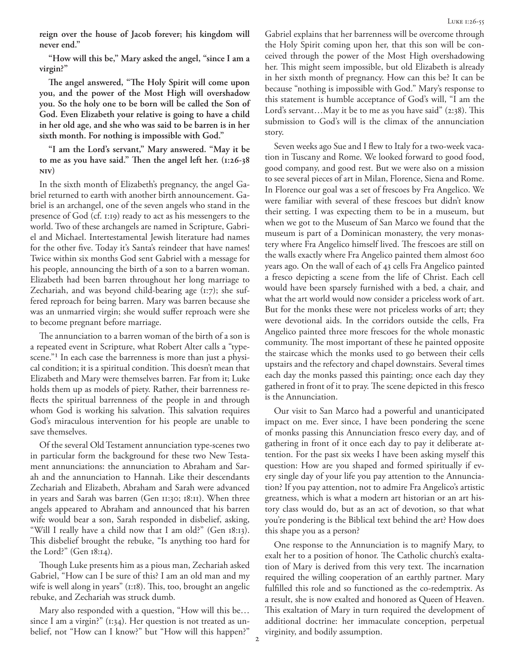**reign over the house of Jacob forever; his kingdom will never end."**

**"How will this be," Mary asked the angel, "since I am a virgin?"**

**The angel answered, "The Holy Spirit will come upon you, and the power of the Most High will overshadow you. So the holy one to be born will be called the Son of God. Even Elizabeth your relative is going to have a child in her old age, and she who was said to be barren is in her sixth month. For nothing is impossible with God."**

**"I am the Lord's servant," Mary answered. "May it be to me as you have said." Then the angel left her. (1:26-38 niv)**

In the sixth month of Elizabeth's pregnancy, the angel Gabriel returned to earth with another birth announcement. Gabriel is an archangel, one of the seven angels who stand in the presence of God (cf. 1:19) ready to act as his messengers to the world. Two of these archangels are named in Scripture, Gabriel and Michael. Intertestamental Jewish literature had names for the other five. Today it's Santa's reindeer that have names! Twice within six months God sent Gabriel with a message for his people, announcing the birth of a son to a barren woman. Elizabeth had been barren throughout her long marriage to Zechariah, and was beyond child-bearing age (1:7); she suffered reproach for being barren. Mary was barren because she was an unmarried virgin; she would suffer reproach were she to become pregnant before marriage.

The annunciation to a barren woman of the birth of a son is a repeated event in Scripture, what Robert Alter calls a "typescene."<sup>1</sup> In each case the barrenness is more than just a physical condition; it is a spiritual condition. This doesn't mean that Elizabeth and Mary were themselves barren. Far from it; Luke holds them up as models of piety. Rather, their barrenness reflects the spiritual barrenness of the people in and through whom God is working his salvation. This salvation requires God's miraculous intervention for his people are unable to save themselves.

Of the several Old Testament annunciation type-scenes two in particular form the background for these two New Testament annunciations: the annunciation to Abraham and Sarah and the annunciation to Hannah. Like their descendants Zechariah and Elizabeth, Abraham and Sarah were advanced in years and Sarah was barren (Gen 11:30; 18:11). When three angels appeared to Abraham and announced that his barren wife would bear a son, Sarah responded in disbelief, asking, "Will I really have a child now that I am old?" (Gen 18:13). This disbelief brought the rebuke, "Is anything too hard for the Lord?" (Gen 18:14).

Though Luke presents him as a pious man, Zechariah asked Gabriel, "How can I be sure of this? I am an old man and my wife is well along in years" (1:18). This, too, brought an angelic rebuke, and Zechariah was struck dumb.

Mary also responded with a question, "How will this be… since I am a virgin?" (1:34). Her question is not treated as unbelief, not "How can I know?" but "How will this happen?" Gabriel explains that her barrenness will be overcome through the Holy Spirit coming upon her, that this son will be conceived through the power of the Most High overshadowing her. This might seem impossible, but old Elizabeth is already in her sixth month of pregnancy. How can this be? It can be because "nothing is impossible with God." Mary's response to this statement is humble acceptance of God's will, "I am the Lord's servant...May it be to me as you have said" (2:38). This submission to God's will is the climax of the annunciation story.

Seven weeks ago Sue and I flew to Italy for a two-week vacation in Tuscany and Rome. We looked forward to good food, good company, and good rest. But we were also on a mission to see several pieces of art in Milan, Florence, Siena and Rome. In Florence our goal was a set of frescoes by Fra Angelico. We were familiar with several of these frescoes but didn't know their setting. I was expecting them to be in a museum, but when we got to the Museum of San Marco we found that the museum is part of a Dominican monastery, the very monastery where Fra Angelico himself lived. The frescoes are still on the walls exactly where Fra Angelico painted them almost 600 years ago. On the wall of each of 43 cells Fra Angelico painted a fresco depicting a scene from the life of Christ. Each cell would have been sparsely furnished with a bed, a chair, and what the art world would now consider a priceless work of art. But for the monks these were not priceless works of art; they were devotional aids. In the corridors outside the cells, Fra Angelico painted three more frescoes for the whole monastic community. The most important of these he painted opposite the staircase which the monks used to go between their cells upstairs and the refectory and chapel downstairs. Several times each day the monks passed this painting; once each day they gathered in front of it to pray. The scene depicted in this fresco is the Annunciation.

Our visit to San Marco had a powerful and unanticipated impact on me. Ever since, I have been pondering the scene of monks passing this Annunciation fresco every day, and of gathering in front of it once each day to pay it deliberate attention. For the past six weeks I have been asking myself this question: How are you shaped and formed spiritually if every single day of your life you pay attention to the Annunciation? If you pay attention, not to admire Fra Angelico's artistic greatness, which is what a modern art historian or an art history class would do, but as an act of devotion, so that what you're pondering is the Biblical text behind the art? How does this shape you as a person?

One response to the Annunciation is to magnify Mary, to exalt her to a position of honor. The Catholic church's exaltation of Mary is derived from this very text. The incarnation required the willing cooperation of an earthly partner. Mary fulfilled this role and so functioned as the co-redemptrix. As a result, she is now exalted and honored as Queen of Heaven. This exaltation of Mary in turn required the development of additional doctrine: her immaculate conception, perpetual virginity, and bodily assumption.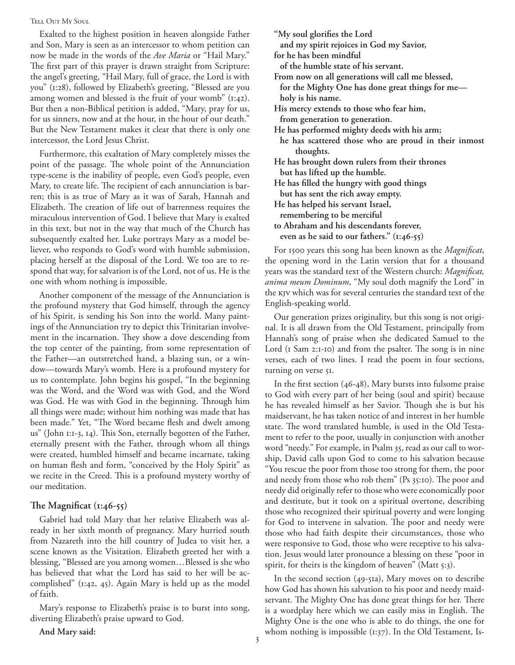## TELL OUT MY SOUL

Exalted to the highest position in heaven alongside Father and Son, Mary is seen as an intercessor to whom petition can now be made in the words of the *Ave Maria* or "Hail Mary." The first part of this prayer is drawn straight from Scripture: the angel's greeting, "Hail Mary, full of grace, the Lord is with you" (1:28), followed by Elizabeth's greeting, "Blessed are you among women and blessed is the fruit of your womb" (1:42). But then a non-Biblical petition is added, "Mary, pray for us, for us sinners, now and at the hour, in the hour of our death." But the New Testament makes it clear that there is only one intercessor, the Lord Jesus Christ.

Furthermore, this exaltation of Mary completely misses the point of the passage. The whole point of the Annunciation type-scene is the inability of people, even God's people, even Mary, to create life. The recipient of each annunciation is barren; this is as true of Mary as it was of Sarah, Hannah and Elizabeth. The creation of life out of barrenness requires the miraculous intervention of God. I believe that Mary is exalted in this text, but not in the way that much of the Church has subsequently exalted her. Luke portrays Mary as a model believer, who responds to God's word with humble submission, placing herself at the disposal of the Lord. We too are to respond that way, for salvation is of the Lord, not of us. He is the one with whom nothing is impossible.

Another component of the message of the Annunciation is the profound mystery that God himself, through the agency of his Spirit, is sending his Son into the world. Many paintings of the Annunciation try to depict this Trinitarian involvement in the incarnation. They show a dove descending from the top center of the painting, from some representation of the Father—an outstretched hand, a blazing sun, or a window—towards Mary's womb. Here is a profound mystery for us to contemplate. John begins his gospel, "In the beginning was the Word, and the Word was with God, and the Word was God. He was with God in the beginning. Through him all things were made; without him nothing was made that has been made." Yet, "The Word became flesh and dwelt among us" (John 1:1-3, 14). This Son, eternally begotten of the Father, eternally present with the Father, through whom all things were created, humbled himself and became incarnate, taking on human flesh and form, "conceived by the Holy Spirit" as we recite in the Creed. This is a profound mystery worthy of our meditation.

## **The Magnificat (1:46-55)**

Gabriel had told Mary that her relative Elizabeth was already in her sixth month of pregnancy. Mary hurried south from Nazareth into the hill country of Judea to visit her, a scene known as the Visitation. Elizabeth greeted her with a blessing, "Blessed are you among women…Blessed is she who has believed that what the Lord has said to her will be accomplished" (1:42, 45). Again Mary is held up as the model of faith.

Mary's response to Elizabeth's praise is to burst into song, diverting Elizabeth's praise upward to God.

**And Mary said:**

| "My soul glorifies the Lord                          |
|------------------------------------------------------|
| and my spirit rejoices in God my Savior,             |
| for he has been mindful                              |
| of the humble state of his servant.                  |
| From now on all generations will call me blessed,    |
| for the Mighty One has done great things for me-     |
| holy is his name.                                    |
| His mercy extends to those who fear him,             |
| from generation to generation.                       |
| He has performed mighty deeds with his arm;          |
| he has scattered those who are proud in their inmost |
| thoughts.                                            |
| He has brought down rulers from their thrones        |
| but has lifted up the humble.                        |
| He has filled the hungry with good things            |
| but has sent the rich away empty.                    |
| He has helped his servant Israel,                    |
| remembering to be merciful                           |
| to Abraham and his descendants forever,              |
| even as he said to our fathers." $(i:46-55)$         |

For 1500 years this song has been known as the *Magnificat*, the opening word in the Latin version that for a thousand years was the standard text of the Western church: *Magnificat, anima meum Dominum*, "My soul doth magnify the Lord" in the kjv which was for several centuries the standard text of the English-speaking world.

Our generation prizes originality, but this song is not original. It is all drawn from the Old Testament, principally from Hannah's song of praise when she dedicated Samuel to the Lord (1 Sam 2:1-10) and from the psalter. The song is in nine verses, each of two lines. I read the poem in four sections, turning on verse 51.

In the first section (46-48), Mary bursts into fulsome praise to God with every part of her being (soul and spirit) because he has revealed himself as her Savior. Though she is but his maidservant, he has taken notice of and interest in her humble state. The word translated humble, is used in the Old Testament to refer to the poor, usually in conjunction with another word "needy." For example, in Psalm 35, read as our call to worship, David calls upon God to come to his salvation because "You rescue the poor from those too strong for them, the poor and needy from those who rob them" (Ps 35:10). The poor and needy did originally refer to those who were economically poor and destitute, but it took on a spiritual overtone, describing those who recognized their spiritual poverty and were longing for God to intervene in salvation. The poor and needy were those who had faith despite their circumstances, those who were responsive to God, those who were receptive to his salvation. Jesus would later pronounce a blessing on these "poor in spirit, for theirs is the kingdom of heaven" (Matt 5:3).

In the second section (49-51a), Mary moves on to describe how God has shown his salvation to his poor and needy maidservant. The Mighty One has done great things for her. There is a wordplay here which we can easily miss in English. The Mighty One is the one who is able to do things, the one for whom nothing is impossible (1:37). In the Old Testament, Is-